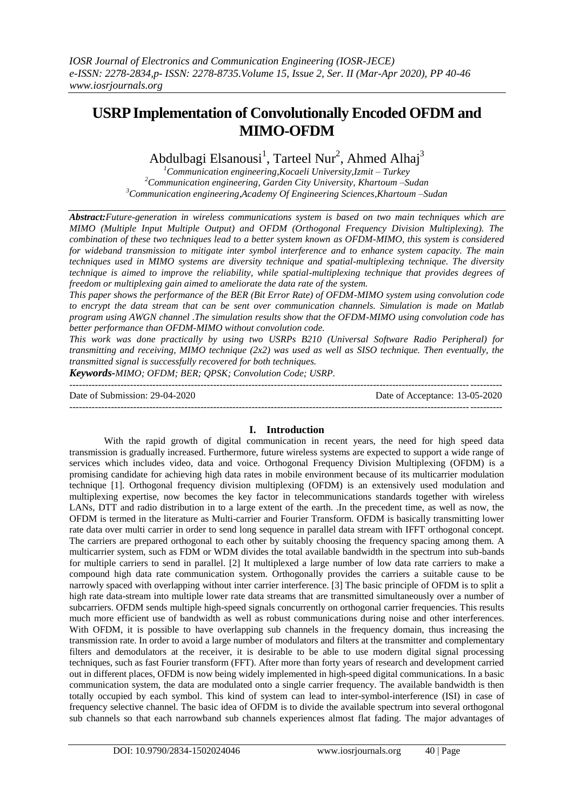# **USRP Implementation of Convolutionally Encoded OFDM and MIMO-OFDM**

Abdulbagi Elsanousi<sup>1</sup>, Tarteel Nur<sup>2</sup>, Ahmed Alhaj<sup>3</sup>

*<sup>1</sup>Communication engineering,Kocaeli University,Izmit – Turkey <sup>2</sup>Communication engineering, Garden City University, Khartoum –Sudan <sup>3</sup>Communication engineering,Academy Of Engineering Sciences,Khartoum –Sudan* 

*Abstract:Future-generation in wireless communications system is based on two main techniques which are MIMO (Multiple Input Multiple Output) and OFDM (Orthogonal Frequency Division Multiplexing). The combination of these two techniques lead to a better system known as OFDM-MIMO, this system is considered for wideband transmission to mitigate inter symbol interference and to enhance system capacity. The main techniques used in MIMO systems are diversity technique and spatial-multiplexing technique. The diversity technique is aimed to improve the reliability, while spatial-multiplexing technique that provides degrees of freedom or multiplexing gain aimed to ameliorate the data rate of the system.* 

*This paper shows the performance of the BER (Bit Error Rate) of OFDM-MIMO system using convolution code to encrypt the data stream that can be sent over communication channels. Simulation is made on Matlab program using AWGN channel .The simulation results show that the OFDM-MIMO using convolution code has better performance than OFDM-MIMO without convolution code.* 

*This work was done practically by using two USRPs B210 (Universal Software Radio Peripheral) for transmitting and receiving, MIMO technique (2x2) was used as well as SISO technique. Then eventually, the transmitted signal is successfully recovered for both techniques.*

*Keywords-MIMO; OFDM; BER; QPSK; Convolution Code; USRP.* ---------------------------------------------------------------------------------------------------------------------------------------

Date of Submission: 29-04-2020 Date of Acceptance: 13-05-2020

---------------------------------------------------------------------------------------------------------------------------------------

## **I. Introduction**

With the rapid growth of digital communication in recent years, the need for high speed data transmission is gradually increased. Furthermore, future wireless systems are expected to support a wide range of services which includes video, data and voice. Orthogonal Frequency Division Multiplexing (OFDM) is a promising candidate for achieving high data rates in mobile environment because of its multicarrier modulation technique [1]. Orthogonal frequency division multiplexing (OFDM) is an extensively used modulation and multiplexing expertise, now becomes the key factor in telecommunications standards together with wireless LANs, DTT and radio distribution in to a large extent of the earth. .In the precedent time, as well as now, the OFDM is termed in the literature as Multi-carrier and Fourier Transform. OFDM is basically transmitting lower rate data over multi carrier in order to send long sequence in parallel data stream with IFFT orthogonal concept. The carriers are prepared orthogonal to each other by suitably choosing the frequency spacing among them. A multicarrier system, such as FDM or WDM divides the total available bandwidth in the spectrum into sub-bands for multiple carriers to send in parallel. [2] It multiplexed a large number of low data rate carriers to make a compound high data rate communication system. Orthogonally provides the carriers a suitable cause to be narrowly spaced with overlapping without inter carrier interference. [3] The basic principle of OFDM is to split a high rate data-stream into multiple lower rate data streams that are transmitted simultaneously over a number of subcarriers. OFDM sends multiple high-speed signals concurrently on orthogonal carrier frequencies. This results much more efficient use of bandwidth as well as robust communications during noise and other interferences. With OFDM, it is possible to have overlapping sub channels in the frequency domain, thus increasing the transmission rate. In order to avoid a large number of modulators and filters at the transmitter and complementary filters and demodulators at the receiver, it is desirable to be able to use modern digital signal processing techniques, such as fast Fourier transform (FFT). After more than forty years of research and development carried out in different places, OFDM is now being widely implemented in high-speed digital communications. In a basic communication system, the data are modulated onto a single carrier frequency. The available bandwidth is then totally occupied by each symbol. This kind of system can lead to inter-symbol-interference (ISI) in case of frequency selective channel. The basic idea of OFDM is to divide the available spectrum into several orthogonal sub channels so that each narrowband sub channels experiences almost flat fading. The major advantages of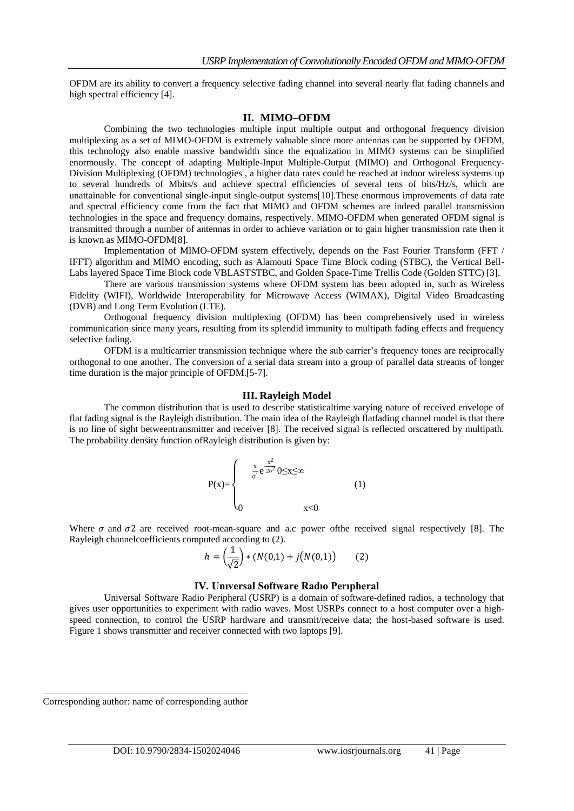OFDM are its ability to convert a frequency selective fading channel into several nearly flat fading channels and high spectral efficiency [4].

#### **II. MIMO–OFDM**

Combining the two technologies multiple input multiple output and orthogonal frequency division multiplexing as a set of MIMO-OFDM is extremely valuable since more antennas can be supported by OFDM, this technology also enable massive bandwidth since the equalization in MIMO systems can be simplified enormously. The concept of adapting Multiple-Input Multiple-Output (MIMO) and Orthogonal Frequency-Division Multiplexing (OFDM) technologies , a higher data rates could be reached at indoor wireless systems up to several hundreds of Mbits/s and achieve spectral efficiencies of several tens of bits/Hz/s, which are unattainable for conventional single-input single-output systems[10].These enormous improvements of data rate and spectral efficiency come from the fact that MIMO and OFDM schemes are indeed parallel transmission technologies in the space and frequency domains, respectively. MIMO-OFDM when generated OFDM signal is transmitted through a number of antennas in order to achieve variation or to gain higher transmission rate then it is known as MIMO-OFDM[8].

Implementation of MIMO-OFDM system effectively, depends on the Fast Fourier Transform (FFT / IFFT) algorithm and MIMO encoding, such as Alamouti Space Time Block coding (STBC), the Vertical Bell-Labs layered Space Time Block code VBLASTSTBC, and Golden Space-Time Trellis Code (Golden STTC) [3].

There are various transmission systems where OFDM system has been adopted in, such as Wireless Fidelity (WIFI), Worldwide Interoperability for Microwave Access (WIMAX), Digital Video Broadcasting (DVB) and Long Term Evolution (LTE).

Orthogonal frequency division multiplexing (OFDM) has been comprehensively used in wireless communication since many years, resulting from its splendid immunity to multipath fading effects and frequency selective fading.

OFDM is a multicarrier transmission technique where the sub carrier's frequency tones are reciprocally orthogonal to one another. The conversion of a serial data stream into a group of parallel data streams of longer time duration is the major principle of OFDM.[5-7].

#### **III. Rayleigh Model**

The common distribution that is used to describe statisticaltime varying nature of received envelope of flat fading signal is the Rayleigh distribution. The main idea of the Rayleigh flatfading channel model is that there is no line of sight betweentransmitter and receiver [8]. The received signal is reflected orscattered by multipath. The probability density function ofRayleigh distribution is given by:

$$
P(x) = \begin{cases} & \frac{x}{\sigma^2} e^{\frac{x^2}{2\sigma^2}} 0 \le x \le \infty \\ & \\ 0 & x < 0 \end{cases}
$$
 (1)

Where  $\sigma$  and  $\sigma$ 2 are received root-mean-square and a.c power of the received signal respectively [8]. The Rayleigh channelcoefficients computed according to (2).

$$
h = \left(\frac{1}{\sqrt{2}}\right) * (N(0,1) + j(N(0,1)) \tag{2}
$$

#### **IV. Unıversal Software Radıo Perıpheral**

Universal Software Radio Peripheral (USRP) is a domain of [software-defined radios,](https://en.wikipedia.org/wiki/Software-defined_radio) a technology that gives user opportunities to experiment with radio waves. Most USRPs connect to a host computer over a highspeed connection, to control the USRP hardware and transmit/receive data; the host-based software is used. Figure 1 shows transmitter and receiver connected with two laptops [9].

Corresponding author: name of corresponding author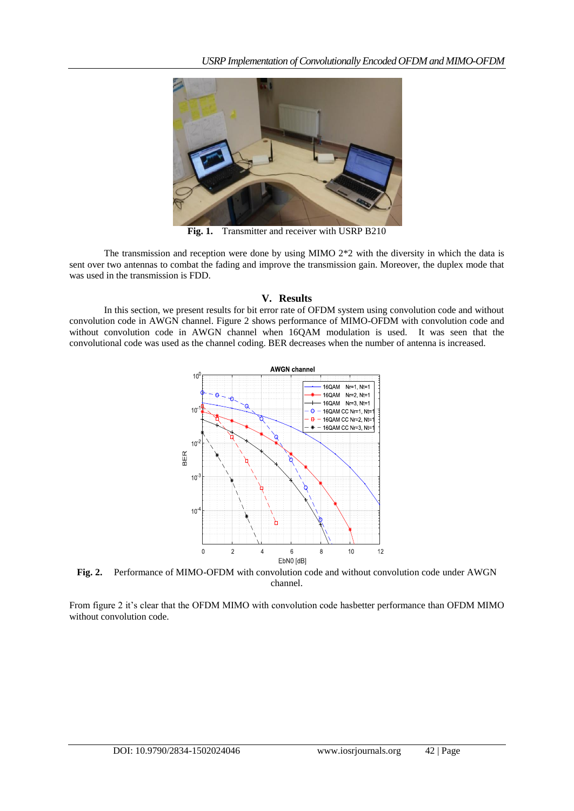

**Fig. 1.** Transmitter and receiver with USRP B210

The transmission and reception were done by using MIMO 2\*2 with the diversity in which the data is sent over two antennas to combat the fading and improve the transmission gain. Moreover, the duplex mode that was used in the transmission is FDD.

## **V. Results**

In this section, we present results for bit error rate of OFDM system using convolution code and without convolution code in AWGN channel. Figure 2 shows performance of MIMO-OFDM with convolution code and without convolution code in AWGN channel when 16QAM modulation is used. It was seen that the convolutional code was used as the channel coding. BER decreases when the number of antenna is increased.



**Fig. 2.** Performance of MIMO-OFDM with convolution code and without convolution code under AWGN channel.

From figure 2 it's clear that the OFDM MIMO with convolution code hasbetter performance than OFDM MIMO without convolution code.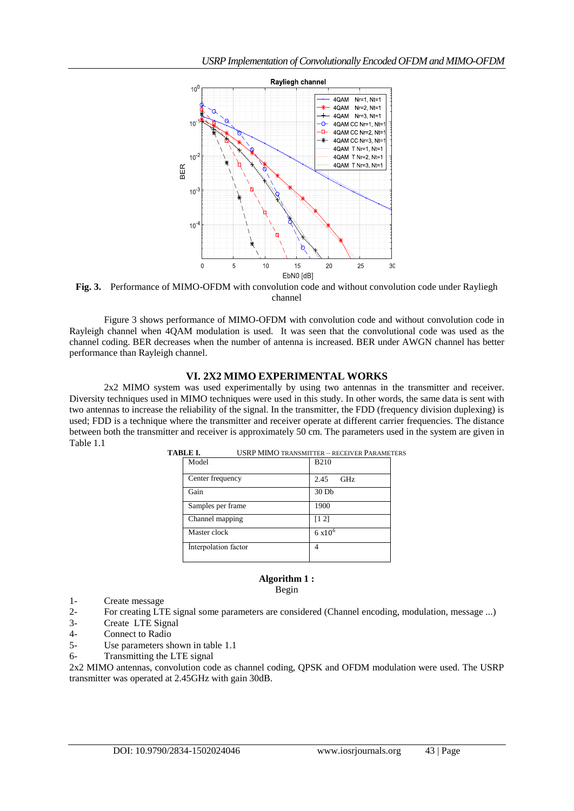

**Fig. 3.** Performance of MIMO-OFDM with convolution code and without convolution code under Rayliegh channel

Figure 3 shows performance of MIMO-OFDM with convolution code and without convolution code in Rayleigh channel when 4QAM modulation is used. It was seen that the convolutional code was used as the channel coding. BER decreases when the number of antenna is increased. BER under AWGN channel has better performance than Rayleigh channel.

### **VI. 2X2 MIMO EXPERIMENTAL WORKS**

2x2 MIMO system was used experimentally by using two antennas in the transmitter and receiver. Diversity techniques used in MIMO techniques were used in this study. In other words, the same data is sent with two antennas to increase the reliability of the signal. In the transmitter, the FDD (frequency division duplexing) is used; FDD is a technique where the transmitter and receiver operate at different carrier frequencies. The distance between both the transmitter and receiver is approximately 50 cm. The parameters used in the system are given in Table 1.1

| TABLE I.<br>USRP MIMO TRANSMITTER - RECEIVER PARAMETERS |                      |                  |
|---------------------------------------------------------|----------------------|------------------|
|                                                         | Model                | <b>B210</b>      |
|                                                         | Center frequency     | 2.45<br>GHz.     |
|                                                         | Gain                 | 30 <sub>Db</sub> |
|                                                         | Samples per frame    | 1900             |
|                                                         | Channel mapping      | [1 2]            |
|                                                         | Master clock         | $6 \times 10^6$  |
|                                                         | Interpolation factor | 4                |
|                                                         |                      |                  |

## **Algorithm 1 :**

Begin

- 1- Create message
- 2- For creating LTE signal some parameters are considered (Channel encoding, modulation, message ...)
- 3- Create LTE Signal
- 4- [Connect to Radio](https://www.mathworks.com/examples/communications/mw/usrpradio_product-sdruLTE2x2SIB1Rx-lte-cell-search-mib-and-sib1-recovery-with-two-antennas?s_tid=examples_p1_BOTH#1)
- 5- Use parameters shown in table 1.1
- 6- Transmitting the LTE signal

2x2 MIMO antennas, convolution code as channel coding, QPSK and OFDM modulation were used. The USRP transmitter was operated at 2.45GHz with gain 30dB.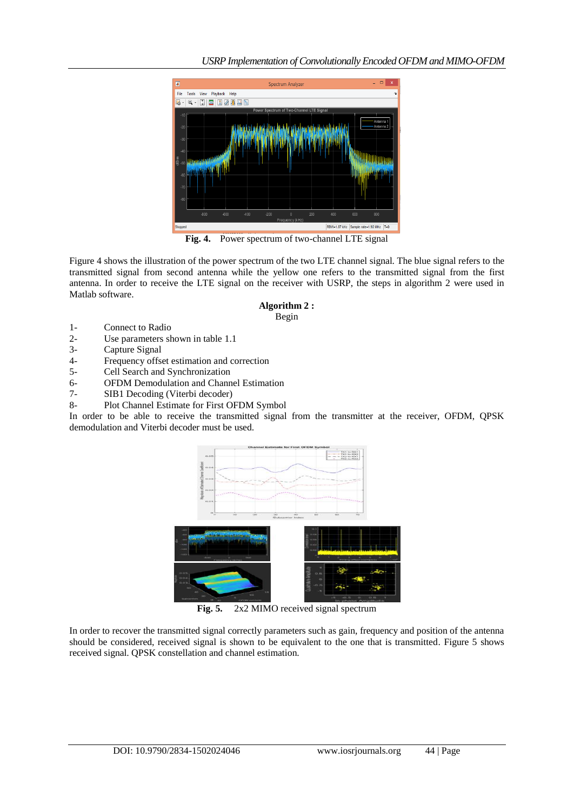

Fig. 4. Power spectrum of two-channel LTE signal

Figure 4 shows the illustration of the power spectrum of the two LTE channel signal. The blue signal refers to the transmitted signal from second antenna while the yellow one refers to the transmitted signal from the first antenna. In order to receive the LTE signal on the receiver with USRP, the steps in algorithm 2 were used in Matlab software.

#### **Algorithm 2 :** Begin

- 1- Connect to Radio
- 2- Use parameters shown in table 1.1
- 3- Capture Signal
- 4- Frequency offset estimation and correction
- 5- Cell Search and Synchronization
- 6- OFDM Demodulation and Channel Estimation
- 7- SIB1 Decoding (Viterbi decoder)
- 8- Plot Channel Estimate for First OFDM Symbol

In order to be able to receive the transmitted signal from the transmitter at the receiver, OFDM, QPSK demodulation and Viterbi decoder must be used.



**Fig. 5.** 2x2 MIMO received signal spectrum

In order to recover the transmitted signal correctly parameters such as gain, frequency and position of the antenna should be considered, received signal is shown to be equivalent to the one that is transmitted. Figure 5 shows received signal. QPSK constellation and channel estimation.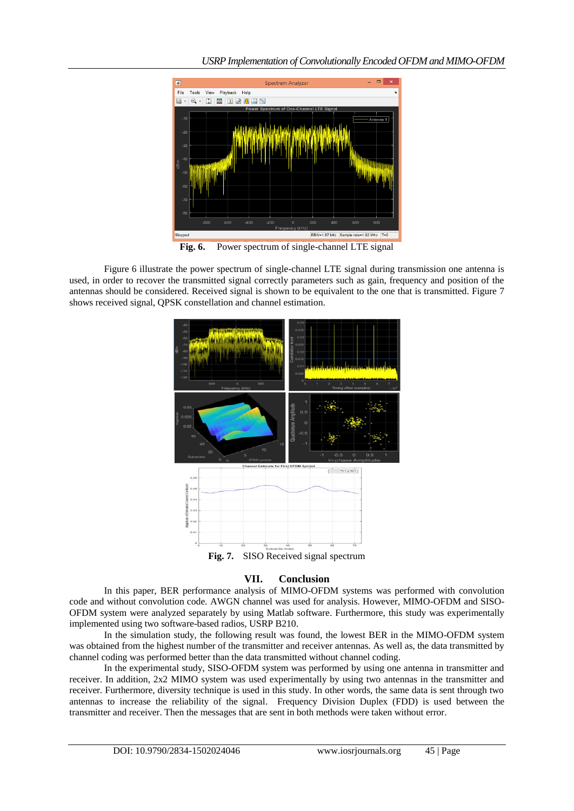

**Fig. 6.** Power spectrum of single-channel LTE signal

Figure 6 illustrate the power spectrum of single-channel LTE signal during transmission one antenna is used, in order to recover the transmitted signal correctly parameters such as gain, frequency and position of the antennas should be considered. Received signal is shown to be equivalent to the one that is transmitted. Figure 7 shows received signal, QPSK constellation and channel estimation.



# **VII. Conclusion**

In this paper, BER performance analysis of MIMO-OFDM systems was performed with convolution code and without convolution code. AWGN channel was used for analysis. However, MIMO-OFDM and SISO-OFDM system were analyzed separately by using Matlab software. Furthermore, this study was experimentally implemented using two software-based radios, USRP B210.

In the simulation study, the following result was found, the lowest BER in the MIMO-OFDM system was obtained from the highest number of the transmitter and receiver antennas. As well as, the data transmitted by channel coding was performed better than the data transmitted without channel coding.

In the experimental study, SISO-OFDM system was performed by using one antenna in transmitter and receiver. In addition, 2x2 MIMO system was used experimentally by using two antennas in the transmitter and receiver. Furthermore, diversity technique is used in this study. In other words, the same data is sent through two antennas to increase the reliability of the signal. Frequency Division Duplex (FDD) is used between the transmitter and receiver. Then the messages that are sent in both methods were taken without error.